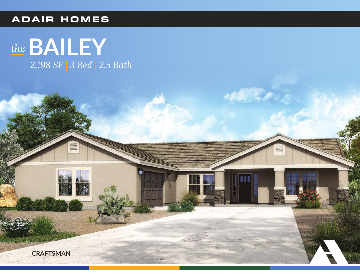## **ADAIR HOMES**



**COLLEGE**